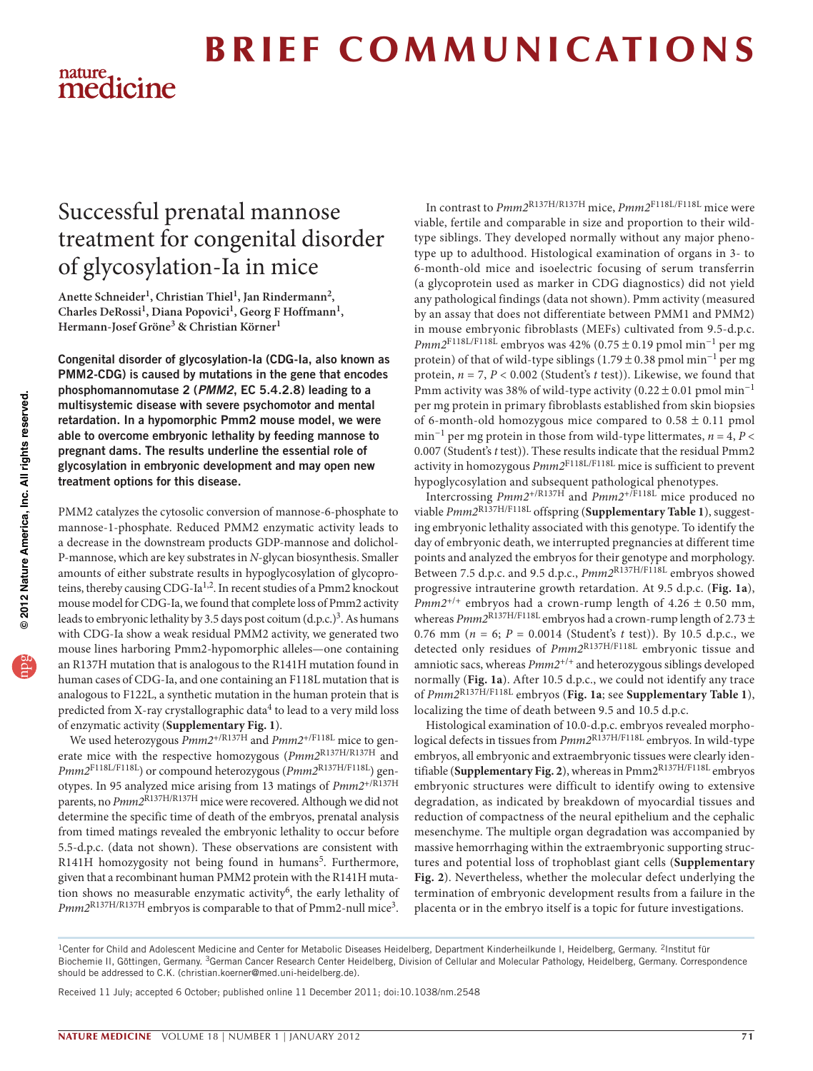# **BRIEF COMMUNICATIONS** nature.<br>medicine

# Successful prenatal mannose treatment for congenital disorder of glycosylation-Ia in mice

Anette Schneider<sup>1</sup>, Christian Thiel<sup>1</sup>, Jan Rindermann<sup>2</sup>, Charles DeRossi<sup>1</sup>, Diana Popovici<sup>1</sup>, Georg F Hoffmann<sup>1</sup>, **Hermann-Josef Gröne3 & Christian Körner1**

Congenital disorder of glycosylation-Ia (CDG-Ia, also known as PMM2-CDG) is caused by mutations in the gene that encodes phosphomannomutase 2 (*PMM2*, EC 5.4.2.8) leading to a multisystemic disease with severe psychomotor and mental retardation. In a hypomorphic Pmm2 mouse model, we were able to overcome embryonic lethality by feeding mannose to pregnant dams. The results underline the essential role of glycosylation in embryonic development and may open new treatment options for this disease.

PMM2 catalyzes the cytosolic conversion of mannose-6-phosphate to mannose-1-phosphate. Reduced PMM2 enzymatic activity leads to a decrease in the downstream products GDP-mannose and dolichol-P-mannose, which are key substrates in *N*-glycan biosynthesis. Smaller amounts of either substrate results in hypoglycosylation of glycoproteins, thereby causing CDG-Ia<sup>1,2</sup>. In recent studies of a Pmm2 knockout mouse model for CDG-Ia, we found that complete loss of Pmm2 activity leads to embryonic lethality by [3.](#page-2-2)5 days post coitum  $(d.p.c.)<sup>3</sup>$ . As humans with CDG-Ia show a weak residual PMM2 activity, we generated two mouse lines harboring Pmm2-hypomorphic alleles—one containing an R137H mutation that is analogous to the R141H mutation found in human cases of CDG-Ia, and one containing an F118L mutation that is analogous to F122L, a synthetic mutation in the human protein that is predicted from X-ray crystallographic data<sup>4</sup> to lead to a very mild loss of enzymatic activity (**Supplementary Fig. 1**).

We used heterozygous *Pmm2*+/R137H and *Pmm2*+/F118L mice to generate mice with the respective homozygous (*Pmm2*R137H/R137H and *Pmm2*F118L/F118L) or compound heterozygous (*Pmm2*R137H/F118L) genotypes. In 95 analyzed mice arising from 13 matings of *Pmm2*+/R137H parents, no *Pmm2*<sup>R137H/R137H</sup> mice were recovered. Although we did not determine the specific time of death of the embryos, prenatal analysis from timed matings revealed the embryonic lethality to occur before 5.5-d.p.c. (data not shown). These observations are consistent with R141H homozygosity not being found in humans<sup>[5](#page-2-4)</sup>. Furthermore, given that a recombinant human PMM2 protein with the R141H mutation shows no measurable enzymatic activity<sup>6</sup>, the early lethality of *Pmm2*R137H/R137H embryos is comparable to that of Pmm2-null mic[e3](#page-2-2).

In contrast to *Pmm2*R137H/R137H mice, *Pmm2*F118L/F118L mice were viable, fertile and comparable in size and proportion to their wildtype siblings. They developed normally without any major phenotype up to adulthood. Histological examination of organs in 3- to 6-month-old mice and isoelectric focusing of serum transferrin (a glycoprotein used as marker in CDG diagnostics) did not yield any pathological findings (data not shown). Pmm activity (measured by an assay that does not differentiate between PMM1 and PMM2) in mouse embryonic fibroblasts (MEFs) cultivated from 9.5-d.p.c. *Pmm2*F118L/F118L embryos was 42% (0.75 ± 0.19 pmol min−1 per mg protein) of that of wild-type siblings (1.79 ± 0.38 pmol min<sup>-1</sup> per mg protein, *n* = 7, *P* < 0.002 (Student's *t* test)). Likewise, we found that Pmm activity was 38% of wild-type activity (0.22 ± 0.01 pmol min−1 per mg protein in primary fibroblasts established from skin biopsies of 6-month-old homozygous mice compared to  $0.58 \pm 0.11$  pmol min−1 per mg protein in those from wild-type littermates, *n* = 4, *P* < 0.007 (Student's *t* test)). These results indicate that the residual Pmm2 activity in homozygous *Pmm2*F118L/F118L mice is sufficient to prevent hypoglycosylation and subsequent pathological phenotypes.

Intercrossing *Pmm2*+/R137H and *Pmm2*+/F118L mice produced no viable *Pmm2*R137H/F118L offspring (**Supplementary Table 1**), suggesting embryonic lethality associated with this genotype. To identify the day of embryonic death, we interrupted pregnancies at different time points and analyzed the embryos for their genotype and morphology. Between 7.5 d.p.c. and 9.5 d.p.c., *Pmm2*R137H/F118L embryos showed progressive intrauterine growth retardation. At 9.5 d.p.c. (**[Fig. 1a](#page-1-0)**), *Pmm2*<sup>+/+</sup> embryos had a crown-rump length of  $4.26 \pm 0.50$  mm, whereas  $Pmm2^{\rm R137H/F118L}$  embryos had a crown-rump length of 2.73  $\pm$ 0.76 mm ( $n = 6$ ;  $P = 0.0014$  (Student's t test)). By 10.5 d.p.c., we detected only residues of *Pmm2*R137H/F118L embryonic tissue and amniotic sacs, whereas *Pmm2*+/+ and heterozygous siblings developed normally (**[Fig. 1a](#page-1-0)**). After 10.5 d.p.c., we could not identify any trace of *Pmm2*R137H/F118L embryos (**[Fig. 1a](#page-1-0)**; see **Supplementary Table 1**), localizing the time of death between 9.5 and 10.5 d.p.c.

Histological examination of 10.0-d.p.c. embryos revealed morphological defects in tissues from *Pmm2*R137H/F118L embryos. In wild-type embryos, all embryonic and extraembryonic tissues were clearly identifiable (**Supplementary Fig. 2**), whereas in Pmm2R137H/F118L embryos embryonic structures were difficult to identify owing to extensive degradation, as indicated by breakdown of myocardial tissues and reduction of compactness of the neural epithelium and the cephalic mesenchyme. The multiple organ degradation was accompanied by massive hemorrhaging within the extraembryonic supporting structures and potential loss of trophoblast giant cells (**Supplementary Fig. 2**). Nevertheless, whether the molecular defect underlying the termination of embryonic development results from a failure in the placenta or in the embryo itself is a topic for future investigations.

Received 11 July; accepted 6 October; published online 11 December 2011; [doi:10.1038/nm.2548](http://www.nature.com/doifinder/10.1038/nm.2548)

<sup>&</sup>lt;sup>1</sup>Center for Child and Adolescent Medicine and Center for Metabolic Diseases Heidelberg, Department Kinderheilkunde I, Heidelberg, Germany. <sup>2</sup>Institut für Biochemie II, Göttingen, Germany. 3German Cancer Research Center Heidelberg, Division of Cellular and Molecular Pathology, Heidelberg, Germany. Correspondence should be addressed to C.K. (christian.koerner@med.uni-heidelberg.de).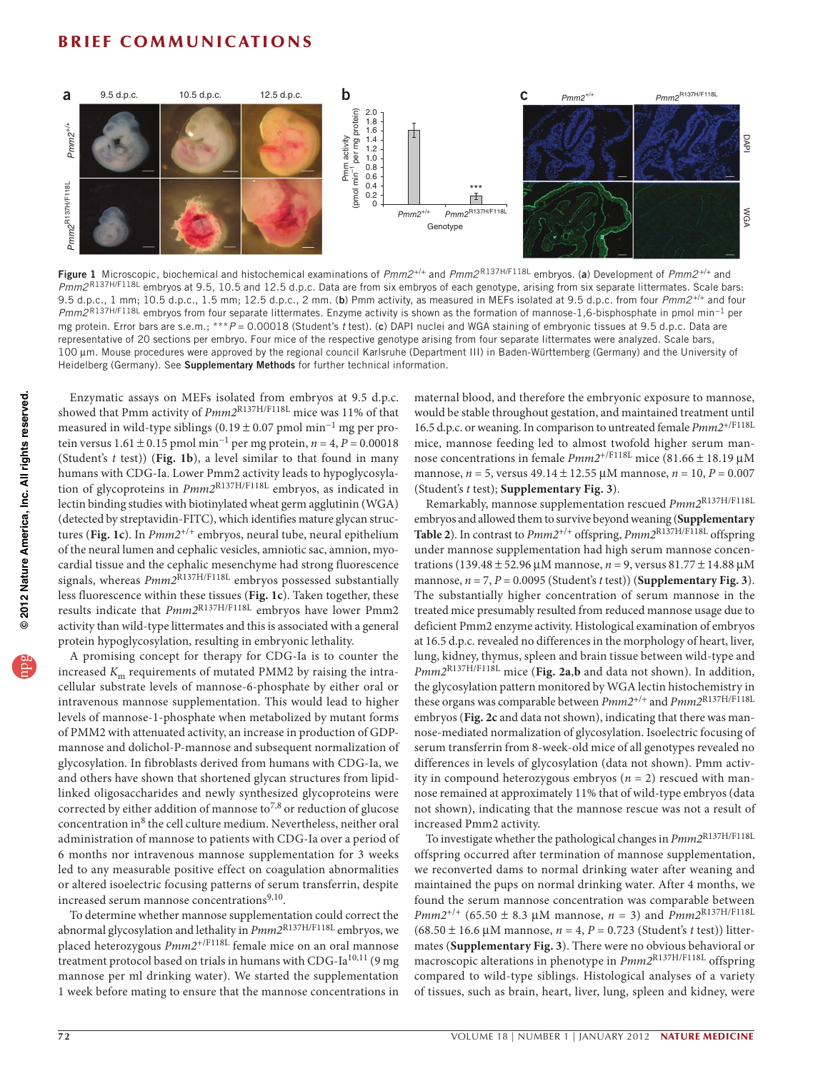# **BRIEF COMMUNICATIONS**



<span id="page-1-0"></span>Figure 1 Microscopic, biochemical and histochemical examinations of *Pmm2*+/+ and *Pmm2*R137H/F118L embryos. (a) Development of *Pmm2*+/+ and *Pmm2*R137H/F118L embryos at 9.5, 10.5 and 12.5 d.p.c. Data are from six embryos of each genotype, arising from six separate littermates. Scale bars: 9.5 d.p.c., 1 mm; 10.5 d.p.c., 1.5 mm; 12.5 d.p.c., 2 mm. (b) Pmm activity, as measured in MEFs isolated at 9.5 d.p.c. from four *Pmm2*+/+ and four *Pmm2* R137H/F118L embryos from four separate littermates. Enzyme activity is shown as the formation of mannose-1,6-bisphosphate in pmol min−1 per mg protein. Error bars are s.e.m.; \*\*\**P* = 0.00018 (Student's *t* test). (c) DAPI nuclei and WGA staining of embryonic tissues at 9.5 d.p.c. Data are representative of 20 sections per embryo. Four mice of the respective genotype arising from four separate littermates were analyzed. Scale bars, 100 µm. Mouse procedures were approved by the regional council Karlsruhe (Department III) in Baden-Württemberg (Germany) and the University of Heidelberg (Germany). See Supplementary Methods for further technical information.

Enzymatic assays on MEFs isolated from embryos at 9.5 d.p.c. showed that Pmm activity of *Pmm2*R137H/F118L mice was 11% of that measured in wild-type siblings  $(0.19 \pm 0.07 \text{ pmol min}^{-1} \text{mg per pro-}$ tein versus 1.61 ± 0.15 pmol min−1 per mg protein, *n* = 4, *P* = 0.00018 (Student's *t* test)) (**[Fig. 1b](#page-1-0)**), a level similar to that found in many humans with CDG-Ia. Lower Pmm2 activity leads to hypoglycosylation of glycoproteins in *Pmm2*R137H/F118L embryos, as indicated in lectin binding studies with biotinylated wheat germ agglutinin (WGA) (detected by streptavidin-FITC), which identifies mature glycan structures (**[Fig. 1c](#page-1-0)**). In *Pmm2*+/+ embryos, neural tube, neural epithelium of the neural lumen and cephalic vesicles, amniotic sac, amnion, myocardial tissue and the cephalic mesenchyme had strong fluorescence signals, whereas  $Pmm2^{\overline{R}137H/F118L}$  embryos possessed substantially less fluorescence within these tissues (**[Fig. 1c](#page-1-0)**). Taken together, these results indicate that *Pmm2*R137H/F118L embryos have lower Pmm2 activity than wild-type littermates and this is associated with a general protein hypoglycosylation, resulting in embryonic lethality.

A promising concept for therapy for CDG-Ia is to counter the increased  $K<sub>m</sub>$  requirements of mutated PMM2 by raising the intracellular substrate levels of mannose-6-phosphate by either oral or intravenous mannose supplementation. This would lead to higher levels of mannose-1-phosphate when metabolized by mutant forms of PMM2 with attenuated activity, an increase in production of GDPmannose and dolichol-P-mannose and subsequent normalization of glycosylation. In fibroblasts derived from humans with CDG-Ia, we and others have shown that shortened glycan structures from lipidlinked oligosaccharides and newly synthesized glycoproteins were corrected by either addition of mannose to<sup>[7,](#page-2-6)8</sup> or reduction of glucose concentration in[8](#page-2-7) the cell culture medium. Nevertheless, neither oral administration of mannose to patients with CDG-Ia over a period of 6 months nor intravenous mannose supplementation for 3 weeks led to any measurable positive effect on coagulation abnormalities or altered isoelectric focusing patterns of serum transferrin, despite increased serum mannose concentrations<sup>[9,](#page-2-8)10</sup>.

To determine whether mannose supplementation could correct the abnormal glycosylation and lethality in *Pmm2*R137H/F118L embryos, we placed heterozygous *Pmm2*+/F118L female mice on an oral mannose treatment protocol based on trials in humans with CDG-Ia<sup>[10,](#page-2-9)11</sup> (9 mg mannose per ml drinking water). We started the supplementation 1 week before mating to ensure that the mannose concentrations in maternal blood, and therefore the embryonic exposure to mannose, would be stable throughout gestation, and maintained treatment until 16.5 d.p.c. or weaning. In comparison to untreated female *Pmm2*+/F118L mice, mannose feeding led to almost twofold higher serum mannose concentrations in female *Pmm2*+/F118L mice (81.66 ± 18.19 µM mannose, *n* = 5, versus 49.14 ± 12.55 µM mannose, *n* = 10, *P* = 0.007 (Student's *t* test); **Supplementary Fig. 3**).

Remarkably, mannose supplementation rescued *Pmm2*R137H/F118L embryos and allowed them to survive beyond weaning (**Supplementary Table 2**). In contrast to *Pmm2*+/+ offspring, *Pmm2*R137H/F118L offspring under mannose supplementation had high serum mannose concentrations (139.48 ± 52.96 µM mannose, *n* = 9, versus 81.77 ± 14.88 µM mannose,  $n = 7$ ,  $P = 0.0095$  (Student's *t* test)) (**Supplementary Fig. 3**). The substantially higher concentration of serum mannose in the treated mice presumably resulted from reduced mannose usage due to deficient Pmm2 enzyme activity. Histological examination of embryos at 16.5 d.p.c. revealed no differences in the morphology of heart, liver, lung, kidney, thymus, spleen and brain tissue between wild-type and *Pmm2*R137H/F118L mice (**[Fig. 2a](#page-2-11)**,**b** and data not shown). In addition, the glycosylation pattern monitored by WGA lectin histochemistry in these organs was comparable between *Pmm2*+/+ and *Pmm2*R137H/F118L embryos (**[Fig. 2c](#page-2-11)** and data not shown), indicating that there was mannose-mediated normalization of glycosylation. Isoelectric focusing of serum transferrin from 8-week-old mice of all genotypes revealed no differences in levels of glycosylation (data not shown). Pmm activity in compound heterozygous embryos (*n* = 2) rescued with mannose remained at approximately 11% that of wild-type embryos (data not shown), indicating that the mannose rescue was not a result of increased Pmm2 activity.

To investigate whether the pathological changes in *Pmm2*R137H/F118L offspring occurred after termination of mannose supplementation, we reconverted dams to normal drinking water after weaning and maintained the pups on normal drinking water. After 4 months, we found the serum mannose concentration was comparable between *Pmm2*+/+ (65.50 ± 8.3 µM mannose, *n* = 3) and *Pmm2*R137H/F118L (68.50 ± 16.6 µM mannose, *n* = 4, *P* = 0.723 (Student's *t* test)) littermates (**Supplementary Fig. 3**). There were no obvious behavioral or macroscopic alterations in phenotype in *Pmm2*R137H/F118L offspring compared to wild-type siblings. Histological analyses of a variety of tissues, such as brain, heart, liver, lung, spleen and kidney, were